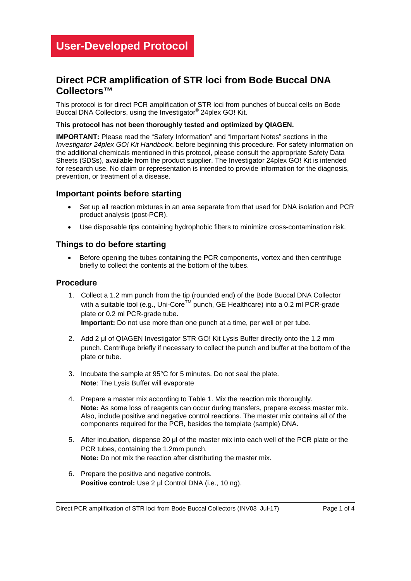### **Direct PCR amplification of STR loci from Bode Buccal DNA Collectors™**

This protocol is for direct PCR amplification of STR loci from punches of buccal cells on Bode Buccal DNA Collectors, using the Investigator® 24plex GO! Kit.

#### **This protocol has not been thoroughly tested and optimized by QIAGEN.**

**IMPORTANT:** Please read the "Safety Information" and "Important Notes" sections in the *Investigator 24plex GO! Kit Handbook*, before beginning this procedure. For safety information on the additional chemicals mentioned in this protocol, please consult the appropriate Safety Data Sheets (SDSs), available from the product supplier. The Investigator 24plex GO! Kit is intended for research use. No claim or representation is intended to provide information for the diagnosis, prevention, or treatment of a disease.

#### **Important points before starting**

- Set up all reaction mixtures in an area separate from that used for DNA isolation and PCR product analysis (post-PCR).
- Use disposable tips containing hydrophobic filters to minimize cross-contamination risk.

#### **Things to do before starting**

• Before opening the tubes containing the PCR components, vortex and then centrifuge briefly to collect the contents at the bottom of the tubes.

#### **Procedure**

1. Collect a 1.2 mm punch from the tip (rounded end) of the Bode Buccal DNA Collector with a suitable tool (e.g., Uni-Core<sup>TM</sup> punch, GE Healthcare) into a 0.2 ml PCR-grade plate or 0.2 ml PCR-grade tube.

**Important:** Do not use more than one punch at a time, per well or per tube.

- 2. Add 2 μl of QIAGEN Investigator STR GO! Kit Lysis Buffer directly onto the 1.2 mm punch. Centrifuge briefly if necessary to collect the punch and buffer at the bottom of the plate or tube.
- 3. Incubate the sample at 95°C for 5 minutes. Do not seal the plate. **Note**: The Lysis Buffer will evaporate
- 4. Prepare a master mix according to Table 1. Mix the reaction mix thoroughly. **Note:** As some loss of reagents can occur during transfers, prepare excess master mix. Also, include positive and negative control reactions. The master mix contains all of the components required for the PCR, besides the template (sample) DNA.
- 5. After incubation, dispense 20 μl of the master mix into each well of the PCR plate or the PCR tubes, containing the 1.2mm punch. **Note:** Do not mix the reaction after distributing the master mix.
- 6. Prepare the positive and negative controls. **Positive control:** Use 2 μl Control DNA (i.e., 10 ng).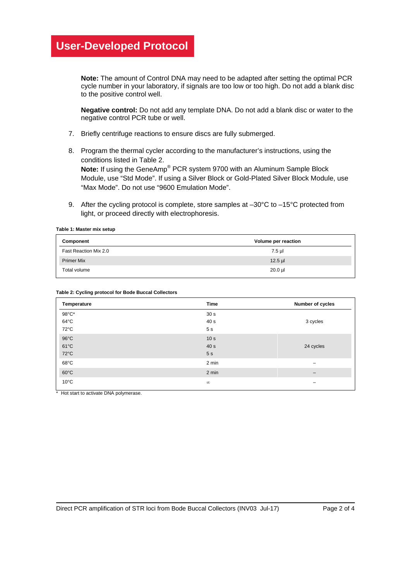# **User-Developed Protocol**

**Note:** The amount of Control DNA may need to be adapted after setting the optimal PCR cycle number in your laboratory, if signals are too low or too high. Do not add a blank disc to the positive control well.

**Negative control:** Do not add any template DNA. Do not add a blank disc or water to the negative control PCR tube or well.

- 7. Briefly centrifuge reactions to ensure discs are fully submerged.
- 8. Program the thermal cycler according to the manufacturer's instructions, using the conditions listed in Table 2. **Note:** If using the GeneAmp® PCR system 9700 with an Aluminum Sample Block Module, use "Std Mode". If using a Silver Block or Gold-Plated Silver Block Module, use "Max Mode". Do not use "9600 Emulation Mode".
- 9. After the cycling protocol is complete, store samples at  $-30^{\circ}$ C to  $-15^{\circ}$ C protected from light, or proceed directly with electrophoresis.

**Table 1: Master mix setup**

| Component             | Volume per reaction |  |
|-----------------------|---------------------|--|
| Fast Reaction Mix 2.0 | 7.5 µl              |  |
| <b>Primer Mix</b>     | $12.5$ µl           |  |
| Total volume          | $20.0 \mu$          |  |

| Temperature    | Time            | Number of cycles |
|----------------|-----------------|------------------|
| 98°C*          | 30 <sub>s</sub> |                  |
| $64^{\circ}$ C | 40 s            | 3 cycles         |
| 72°C           | 5 <sub>s</sub>  |                  |
| $96^{\circ}$ C | 10 <sub>s</sub> |                  |
| $61^{\circ}$ C | 40 s            | 24 cycles        |
| 72°C           | 5 <sub>s</sub>  |                  |
| $68^{\circ}$ C | 2 min           | -                |
| $60^{\circ}$ C | 2 min           | —                |
| $10^{\circ}$ C | $\infty$        | -                |

\* Hot start to activate DNA polymerase.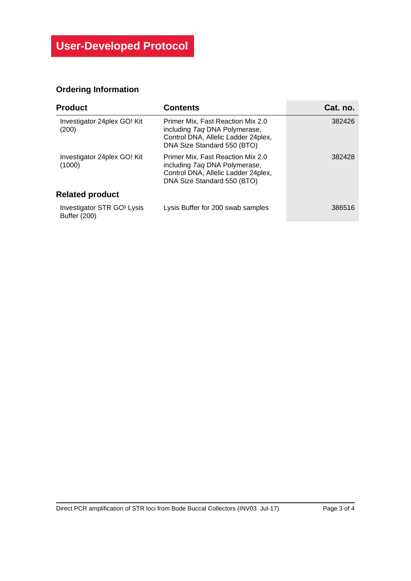## **Ordering Information**

| <b>Product</b>                                    | <b>Contents</b>                                                                                                                           | Cat. no. |
|---------------------------------------------------|-------------------------------------------------------------------------------------------------------------------------------------------|----------|
| Investigator 24 plex GO! Kit<br>(200)             | Primer Mix, Fast Reaction Mix 2.0<br>including Tag DNA Polymerase,<br>Control DNA, Allelic Ladder 24plex,<br>DNA Size Standard 550 (BTO)  | 382426   |
| Investigator 24 plex GO! Kit<br>(1000)            | Primer Mix, Fast Reaction Mix 2.0<br>including Tag DNA Polymerase,<br>Control DNA, Allelic Ladder 24 plex,<br>DNA Size Standard 550 (BTO) | 382428   |
| <b>Related product</b>                            |                                                                                                                                           |          |
| Investigator STR GO! Lysis<br><b>Buffer (200)</b> | Lysis Buffer for 200 swab samples                                                                                                         | 386516   |